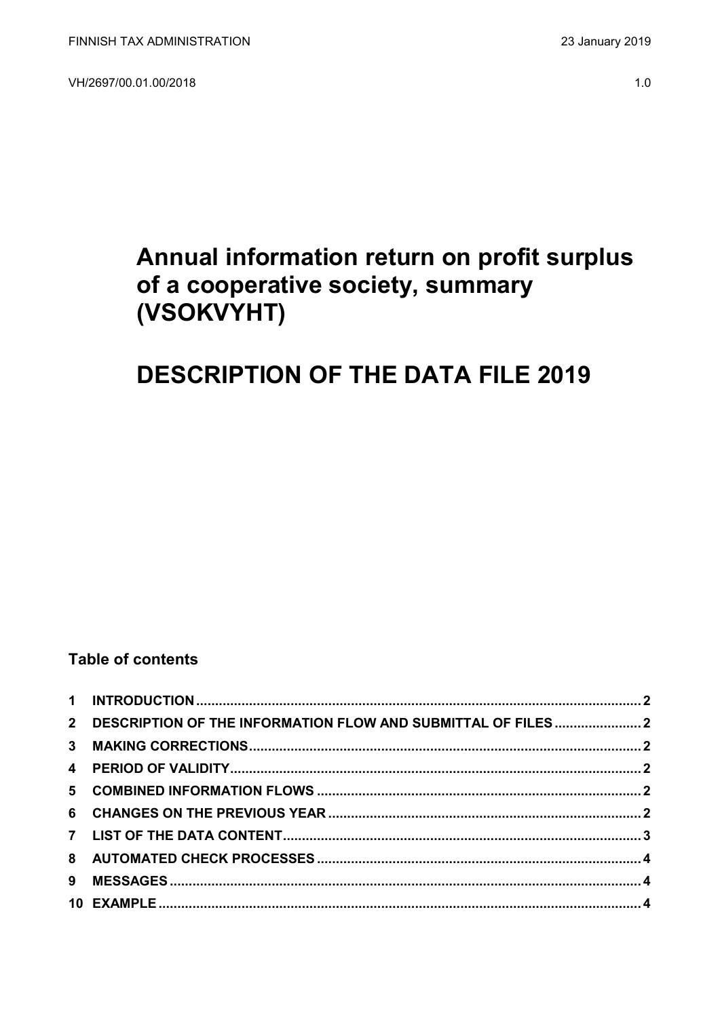VH/2697/00.01.00/2018

# Annual information return on profit surplus of a cooperative society, summary (VSOKVYHT)

# **DESCRIPTION OF THE DATA FILE 2019**

## **Table of contents**

| 2 DESCRIPTION OF THE INFORMATION FLOW AND SUBMITTAL OF FILES2 |  |
|---------------------------------------------------------------|--|
|                                                               |  |
|                                                               |  |
|                                                               |  |
|                                                               |  |
|                                                               |  |
|                                                               |  |
|                                                               |  |
|                                                               |  |
|                                                               |  |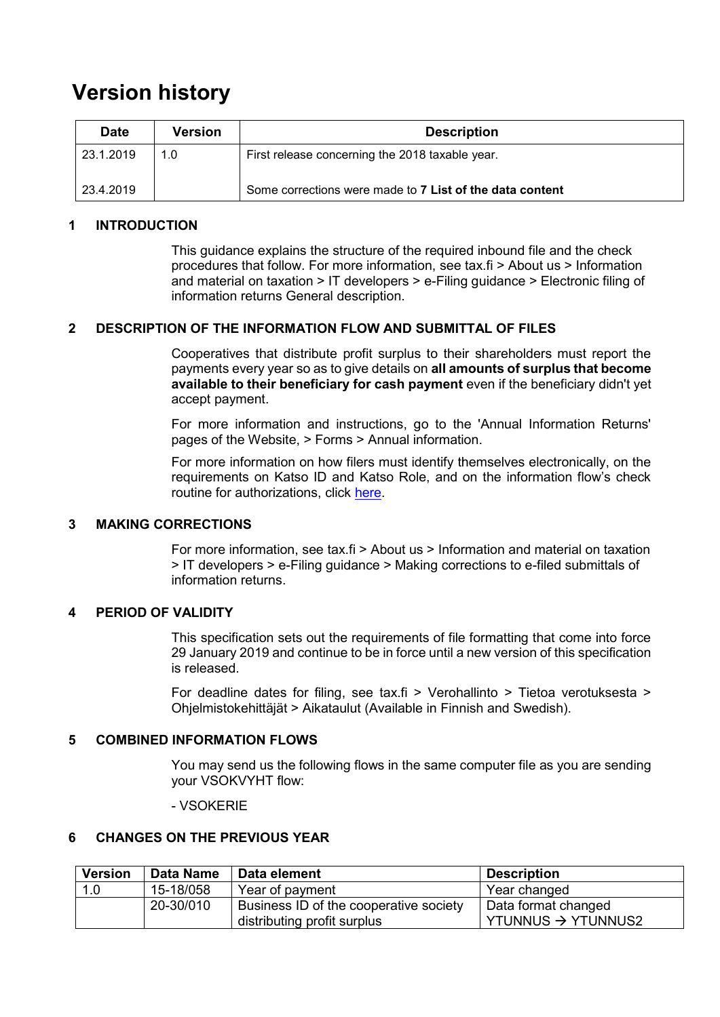# **Version history**

| <b>Date</b> | Version | <b>Description</b>                                       |
|-------------|---------|----------------------------------------------------------|
| 23.1.2019   | 1.0     | First release concerning the 2018 taxable year.          |
| 23.4.2019   |         | Some corrections were made to 7 List of the data content |

### <span id="page-1-0"></span>**1 INTRODUCTION**

This guidance explains the structure of the required inbound file and the check procedures that follow. For more information, see tax.fi > About us > Information and material on taxation > IT developers > e-Filing guidance > Electronic filing of information returns General description.

#### <span id="page-1-1"></span>**2 DESCRIPTION OF THE INFORMATION FLOW AND SUBMITTAL OF FILES**

Cooperatives that distribute profit surplus to their shareholders must report the payments every year so as to give details on **all amounts of surplus that become available to their beneficiary for cash payment** even if the beneficiary didn't yet accept payment.

For more information and instructions, go to the 'Annual Information Returns' pages of the Website, > Forms > Annual information.

For more information on how filers must identify themselves electronically, on the requirements on Katso ID and Katso Role, and on the information flow's check routine for authorizations, click [here.](https://www.ilmoitin.fi/webtamo/sivut/IlmoituslajiRoolit?kieli=en&tv=VSOKVYHT)

## <span id="page-1-2"></span>**3 MAKING CORRECTIONS**

For more information, see tax.fi > About us > Information and material on taxation > IT developers > e-Filing guidance > Making corrections to e-filed submittals of information returns.

#### <span id="page-1-3"></span>**4 PERIOD OF VALIDITY**

This specification sets out the requirements of file formatting that come into force 29 January 2019 and continue to be in force until a new version of this specification is released.

For deadline dates for filing, see tax.fi > Verohallinto > Tietoa verotuksesta > Ohjelmistokehittäjät > Aikataulut (Available in Finnish and Swedish).

## <span id="page-1-4"></span>**5 COMBINED INFORMATION FLOWS**

You may send us the following flows in the same computer file as you are sending your VSOKVYHT flow:

#### - VSOKERIE

#### <span id="page-1-5"></span>**6 CHANGES ON THE PREVIOUS YEAR**

| <b>Version</b> | Data Name | Data element                           | <b>Description</b>             |
|----------------|-----------|----------------------------------------|--------------------------------|
| 1.0            | 15-18/058 | Year of payment                        | Year changed                   |
|                | 20-30/010 | Business ID of the cooperative society | Data format changed            |
|                |           | distributing profit surplus            | YTUNNUS $\rightarrow$ YTUNNUS2 |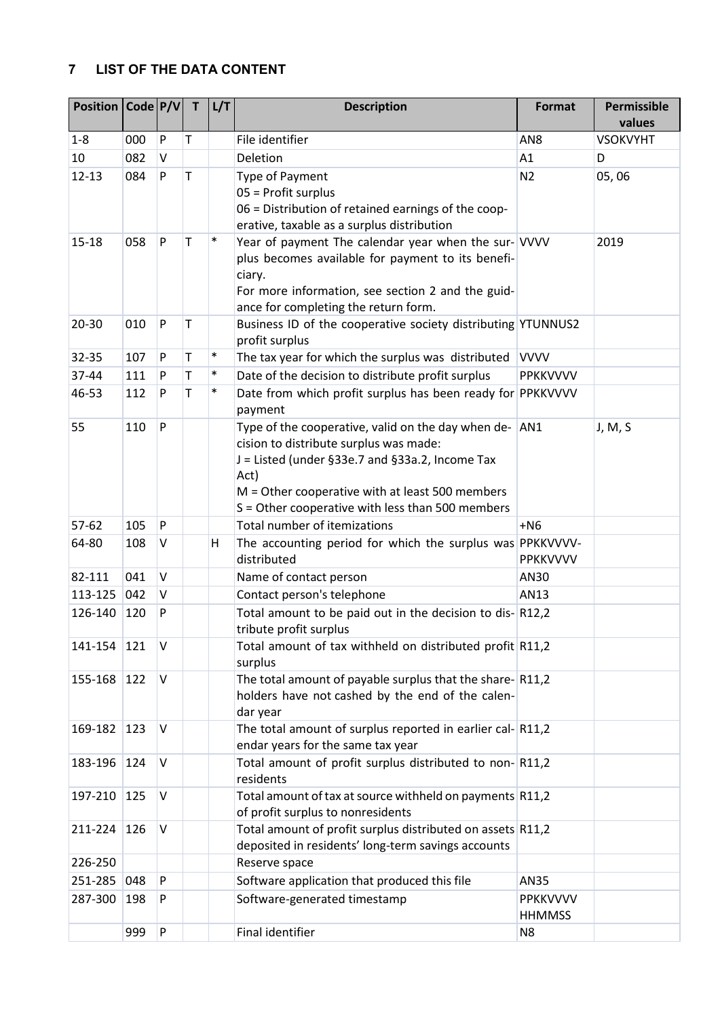## <span id="page-2-0"></span>**7 LIST OF THE DATA CONTENT**

| Position   Code   P/V |        |              | $\mathsf{T}$ | L/T    | <b>Description</b>                                                                                                                                                                                                                                                   | <b>Format</b>                    | Permissible<br>values |
|-----------------------|--------|--------------|--------------|--------|----------------------------------------------------------------------------------------------------------------------------------------------------------------------------------------------------------------------------------------------------------------------|----------------------------------|-----------------------|
| $1 - 8$               | 000    | P            | $\mathsf T$  |        | File identifier                                                                                                                                                                                                                                                      | AN <sub>8</sub>                  | <b>VSOKVYHT</b>       |
| 10                    | 082    | $\mathsf{V}$ |              |        | Deletion                                                                                                                                                                                                                                                             | A1                               | D                     |
| $12 - 13$             | 084    | P            | T            |        | Type of Payment<br>05 = Profit surplus<br>06 = Distribution of retained earnings of the coop-<br>erative, taxable as a surplus distribution                                                                                                                          | N <sub>2</sub>                   | 05,06                 |
| $15 - 18$             | 058    | P            | T            | $\ast$ | Year of payment The calendar year when the sur- VVVV<br>plus becomes available for payment to its benefi-<br>ciary.<br>For more information, see section 2 and the guid-<br>ance for completing the return form.                                                     |                                  | 2019                  |
| 20-30                 | 010    | P            | Τ            |        | Business ID of the cooperative society distributing YTUNNUS2<br>profit surplus                                                                                                                                                                                       |                                  |                       |
| 32-35                 | 107    | P            | Τ            | $\ast$ | The tax year for which the surplus was distributed                                                                                                                                                                                                                   | <b>VVVV</b>                      |                       |
| 37-44                 | 111    | P            | Τ            | $\ast$ | Date of the decision to distribute profit surplus                                                                                                                                                                                                                    | <b>PPKKVVVV</b>                  |                       |
| 46-53                 | 112    | P            | T            | $\ast$ | Date from which profit surplus has been ready for PPKKVVVV<br>payment                                                                                                                                                                                                |                                  |                       |
| 55                    | 110    | P            |              |        | Type of the cooperative, valid on the day when de- AN1<br>cision to distribute surplus was made:<br>J = Listed (under §33e.7 and §33a.2, Income Tax<br>Act)<br>$M =$ Other cooperative with at least 500 members<br>S = Other cooperative with less than 500 members |                                  | J, M, S               |
| 57-62                 | 105    | P            |              |        | Total number of itemizations                                                                                                                                                                                                                                         | $+NG$                            |                       |
| 64-80                 | 108    | V            |              | н      | The accounting period for which the surplus was PPKKVVVV-<br>distributed                                                                                                                                                                                             | PPKKVVVV                         |                       |
| 82-111                | 041    | $\mathsf{V}$ |              |        | Name of contact person                                                                                                                                                                                                                                               | AN30                             |                       |
| 113-125               | 042    | V            |              |        | Contact person's telephone                                                                                                                                                                                                                                           | AN13                             |                       |
| 126-140               | 120    | P            |              |        | Total amount to be paid out in the decision to dis-R12,2<br>tribute profit surplus                                                                                                                                                                                   |                                  |                       |
| 141-154               | $ 121$ | <b>IV</b>    |              |        | Total amount of tax withheld on distributed profit R11,2<br>surplus                                                                                                                                                                                                  |                                  |                       |
| 155-168               | 122    | V            |              |        | The total amount of payable surplus that the share-R11,2<br>holders have not cashed by the end of the calen-<br>dar year                                                                                                                                             |                                  |                       |
| 169-182               | 123    | V            |              |        | The total amount of surplus reported in earlier cal-R11,2<br>endar years for the same tax year                                                                                                                                                                       |                                  |                       |
| 183-196               | 124    | IV.          |              |        | Total amount of profit surplus distributed to non-R11,2<br>residents                                                                                                                                                                                                 |                                  |                       |
| 197-210               | 125    | V            |              |        | Total amount of tax at source withheld on payments R11,2<br>of profit surplus to nonresidents                                                                                                                                                                        |                                  |                       |
| 211-224               | 126    | IV.          |              |        | Total amount of profit surplus distributed on assets R11,2<br>deposited in residents' long-term savings accounts                                                                                                                                                     |                                  |                       |
| 226-250               |        |              |              |        | Reserve space                                                                                                                                                                                                                                                        |                                  |                       |
| 251-285               | 048    | P            |              |        | Software application that produced this file                                                                                                                                                                                                                         | AN35                             |                       |
| 287-300               | 198    | P            |              |        | Software-generated timestamp                                                                                                                                                                                                                                         | <b>PPKKVVVV</b><br><b>HHMMSS</b> |                       |
|                       | 999    | P            |              |        | Final identifier                                                                                                                                                                                                                                                     | N <sub>8</sub>                   |                       |